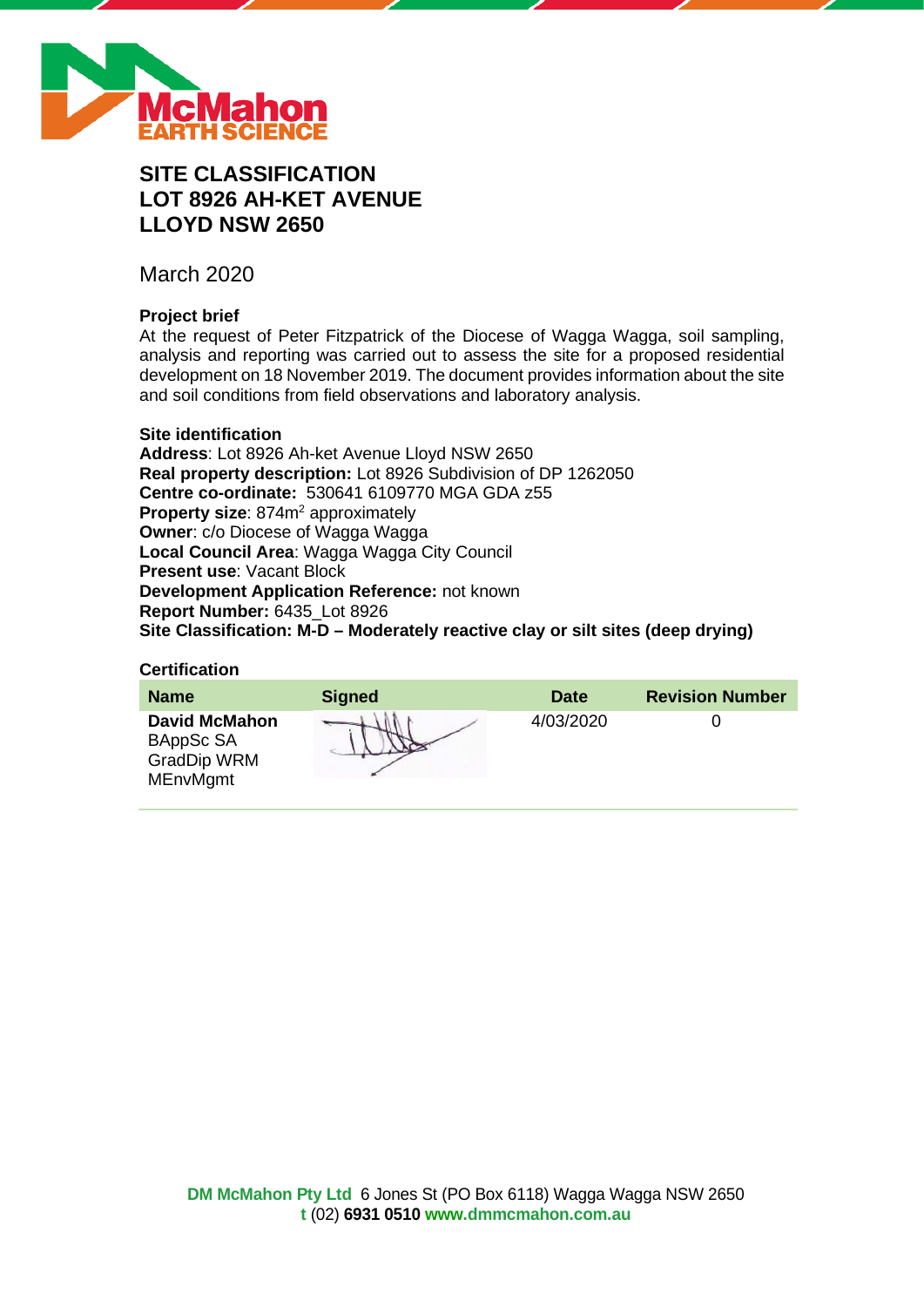

# **SITE CLASSIFICATION LOT 8926 AH-KET AVENUE LLOYD NSW 2650**

March 2020

# **Project brief**

At the request of Peter Fitzpatrick of the Diocese of Wagga Wagga, soil sampling, analysis and reporting was carried out to assess the site for a proposed residential development on 18 November 2019. The document provides information about the site and soil conditions from field observations and laboratory analysis.

# **Site identification**

**Address**: Lot 8926 Ah-ket Avenue Lloyd NSW 2650 **Real property description:** Lot 8926 Subdivision of DP 1262050 **Centre co-ordinate:** 530641 6109770 MGA GDA z55 **Property size:** 874m<sup>2</sup> approximately **Owner**: c/o Diocese of Wagga Wagga **Local Council Area**: Wagga Wagga City Council **Present use**: Vacant Block **Development Application Reference:** not known **Report Number:** 6435\_Lot 8926 **Site Classification: M-D – Moderately reactive clay or silt sites (deep drying)**

# **Certification**

| <b>Name</b>                                                                | <b>Signed</b> | <b>Date</b> | <b>Revision Number</b> |
|----------------------------------------------------------------------------|---------------|-------------|------------------------|
| <b>David McMahon</b><br>BAppSc SA<br><b>GradDip WRM</b><br><b>MEnvMgmt</b> |               | 4/03/2020   |                        |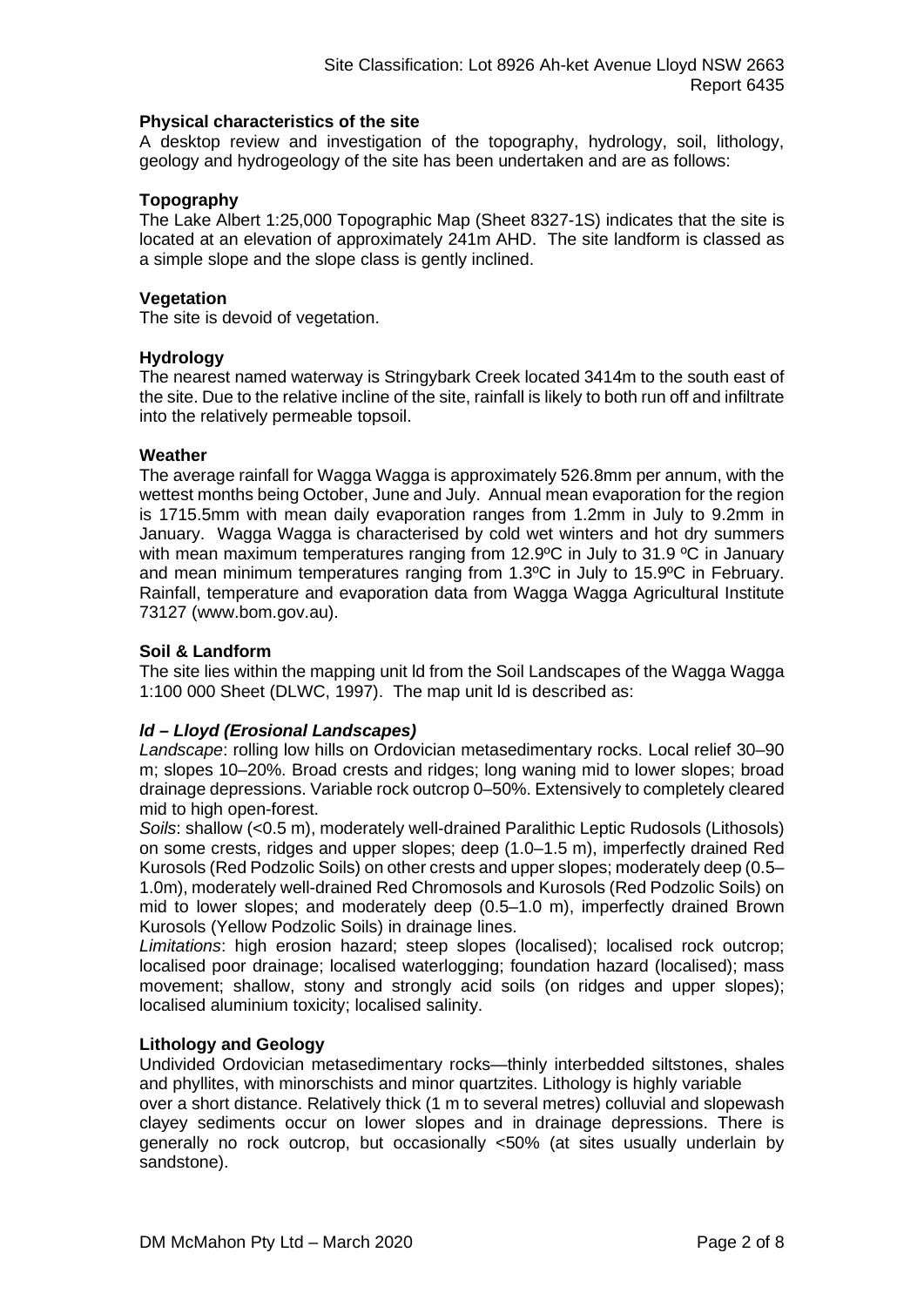# **Physical characteristics of the site**

A desktop review and investigation of the topography, hydrology, soil, lithology, geology and hydrogeology of the site has been undertaken and are as follows:

# **Topography**

The Lake Albert 1:25,000 Topographic Map (Sheet 8327-1S) indicates that the site is located at an elevation of approximately 241m AHD. The site landform is classed as a simple slope and the slope class is gently inclined.

# **Vegetation**

The site is devoid of vegetation.

# **Hydrology**

The nearest named waterway is Stringybark Creek located 3414m to the south east of the site. Due to the relative incline of the site, rainfall is likely to both run off and infiltrate into the relatively permeable topsoil.

# **Weather**

The average rainfall for Wagga Wagga is approximately 526.8mm per annum, with the wettest months being October, June and July. Annual mean evaporation for the region is 1715.5mm with mean daily evaporation ranges from 1.2mm in July to 9.2mm in January. Wagga Wagga is characterised by cold wet winters and hot dry summers with mean maximum temperatures ranging from 12.9°C in July to 31.9 °C in January and mean minimum temperatures ranging from 1.3ºC in July to 15.9ºC in February. Rainfall, temperature and evaporation data from Wagga Wagga Agricultural Institute 73127 (www.bom.gov.au).

# **Soil & Landform**

The site lies within the mapping unit ld from the Soil Landscapes of the Wagga Wagga 1:100 000 Sheet (DLWC, 1997). The map unit ld is described as:

# *ld – Lloyd (Erosional Landscapes)*

*Landscape*: rolling low hills on Ordovician metasedimentary rocks. Local relief 30–90 m; slopes 10–20%. Broad crests and ridges; long waning mid to lower slopes; broad drainage depressions. Variable rock outcrop 0–50%. Extensively to completely cleared mid to high open-forest.

*Soils*: shallow (<0.5 m), moderately well-drained Paralithic Leptic Rudosols (Lithosols) on some crests, ridges and upper slopes; deep (1.0–1.5 m), imperfectly drained Red Kurosols (Red Podzolic Soils) on other crests and upper slopes; moderately deep (0.5– 1.0m), moderately well-drained Red Chromosols and Kurosols (Red Podzolic Soils) on mid to lower slopes; and moderately deep (0.5–1.0 m), imperfectly drained Brown Kurosols (Yellow Podzolic Soils) in drainage lines.

*Limitations*: high erosion hazard; steep slopes (localised); localised rock outcrop; localised poor drainage; localised waterlogging; foundation hazard (localised); mass movement; shallow, stony and strongly acid soils (on ridges and upper slopes); localised aluminium toxicity; localised salinity.

#### **Lithology and Geology**

Undivided Ordovician metasedimentary rocks—thinly interbedded siltstones, shales and phyllites, with minorschists and minor quartzites. Lithology is highly variable

over a short distance. Relatively thick (1 m to several metres) colluvial and slopewash clayey sediments occur on lower slopes and in drainage depressions. There is generally no rock outcrop, but occasionally <50% (at sites usually underlain by sandstone).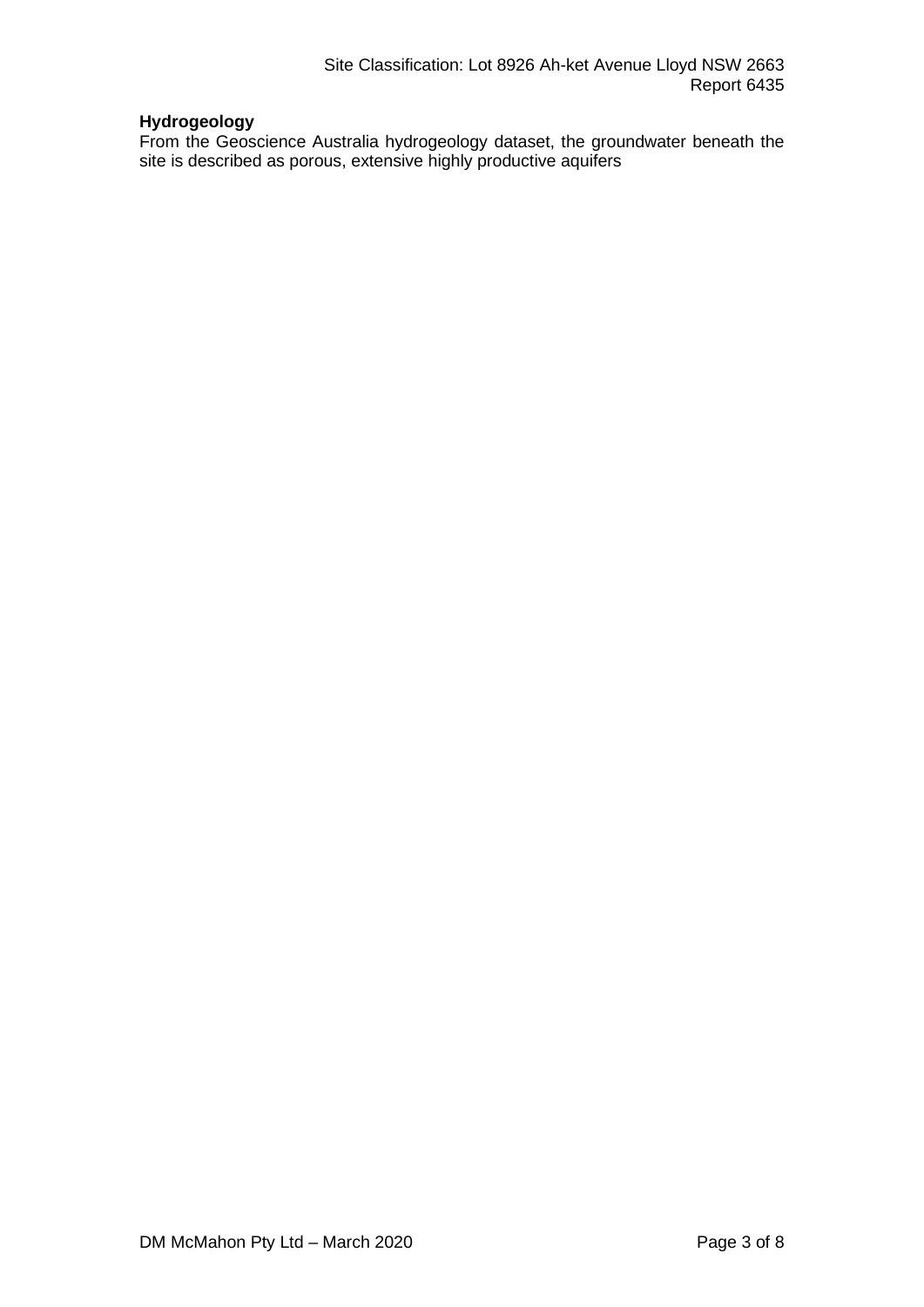# **Hydrogeology**

From the Geoscience Australia hydrogeology dataset, the groundwater beneath the site is described as porous, extensive highly productive aquifers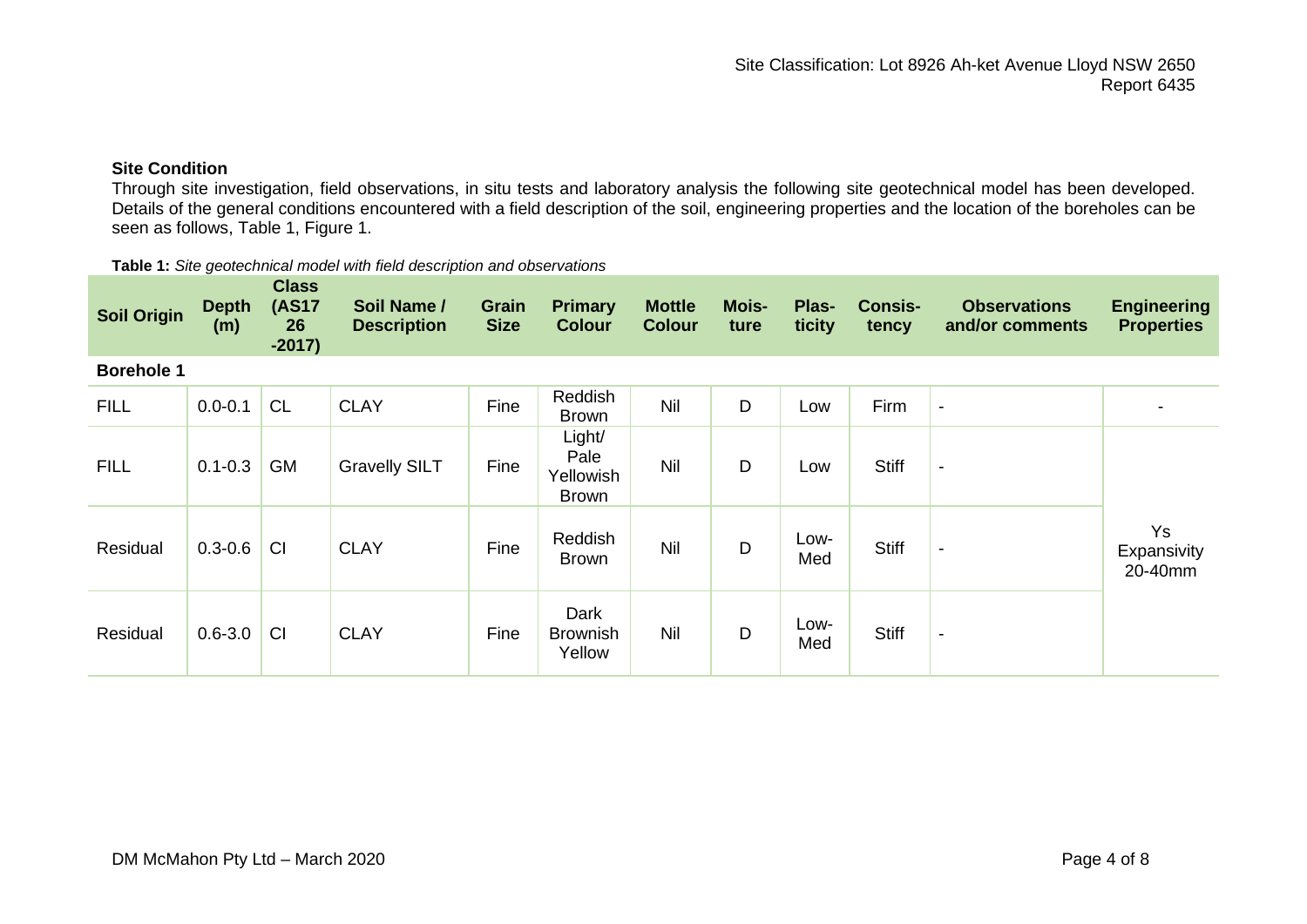# **Site Condition**

Through site investigation, field observations, in situ tests and laboratory analysis the following site geotechnical model has been developed. Details of the general conditions encountered with a field description of the soil, engineering properties and the location of the boreholes can be seen as follows, Table 1, Figure 1.

| Table 1: Site geotechnical model with field description and observations |  |
|--------------------------------------------------------------------------|--|
|--------------------------------------------------------------------------|--|

| <b>Soil Origin</b> | <b>Depth</b><br>(m) | <b>Class</b><br><b>(AS17</b><br>26<br>$-2017$ | Soil Name /<br><b>Description</b> | Grain<br><b>Size</b> | <b>Primary</b><br><b>Colour</b>             | <b>Mottle</b><br><b>Colour</b> | <b>Mois-</b><br>ture | Plas-<br>ticity | <b>Consis-</b><br>tency | <b>Observations</b><br>and/or comments | <b>Engineering</b><br><b>Properties</b> |
|--------------------|---------------------|-----------------------------------------------|-----------------------------------|----------------------|---------------------------------------------|--------------------------------|----------------------|-----------------|-------------------------|----------------------------------------|-----------------------------------------|
| <b>Borehole 1</b>  |                     |                                               |                                   |                      |                                             |                                |                      |                 |                         |                                        |                                         |
| <b>FILL</b>        | $0.0 - 0.1$         | <b>CL</b>                                     | <b>CLAY</b>                       | Fine                 | Reddish<br><b>Brown</b>                     | Nil                            | D                    | Low             | Firm                    | $\overline{\phantom{a}}$               |                                         |
| <b>FILL</b>        | $0.1 - 0.3$         | <b>GM</b>                                     | <b>Gravelly SILT</b>              | Fine                 | Light/<br>Pale<br>Yellowish<br><b>Brown</b> | Nil                            | D                    | Low             | <b>Stiff</b>            | $\blacksquare$                         |                                         |
| Residual           | $0.3 - 0.6$         | CI                                            | <b>CLAY</b>                       | Fine                 | Reddish<br><b>Brown</b>                     | Nil                            | D                    | Low-<br>Med     | <b>Stiff</b>            | $\blacksquare$                         | Ys<br>Expansivity<br>20-40mm            |
| Residual           | $0.6 - 3.0$         | C <sub>l</sub>                                | <b>CLAY</b>                       | Fine                 | Dark<br><b>Brownish</b><br>Yellow           | Nil                            | D                    | Low-<br>Med     | <b>Stiff</b>            | $\overline{\phantom{a}}$               |                                         |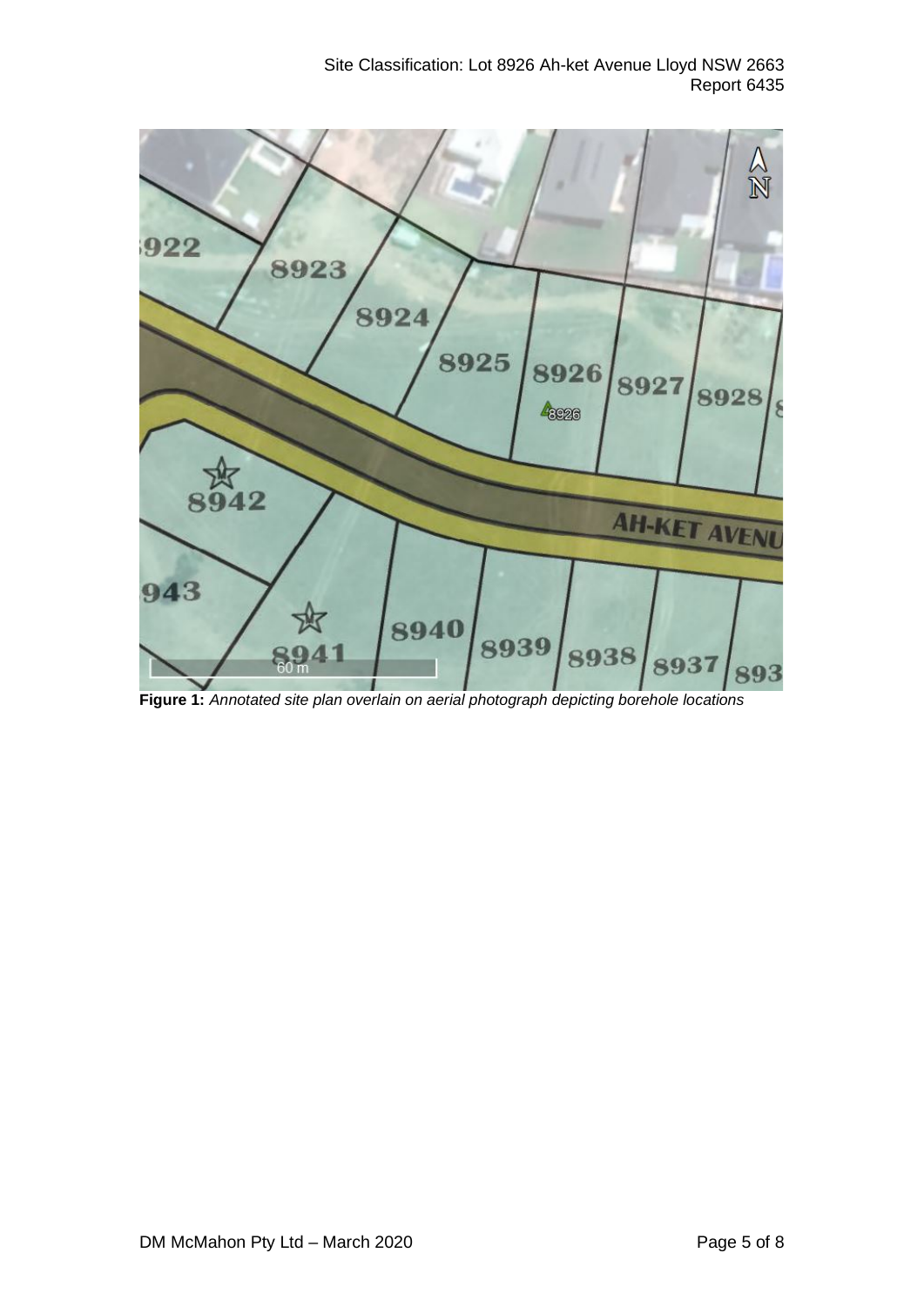

**Figure 1:** *Annotated site plan overlain on aerial photograph depicting borehole locations*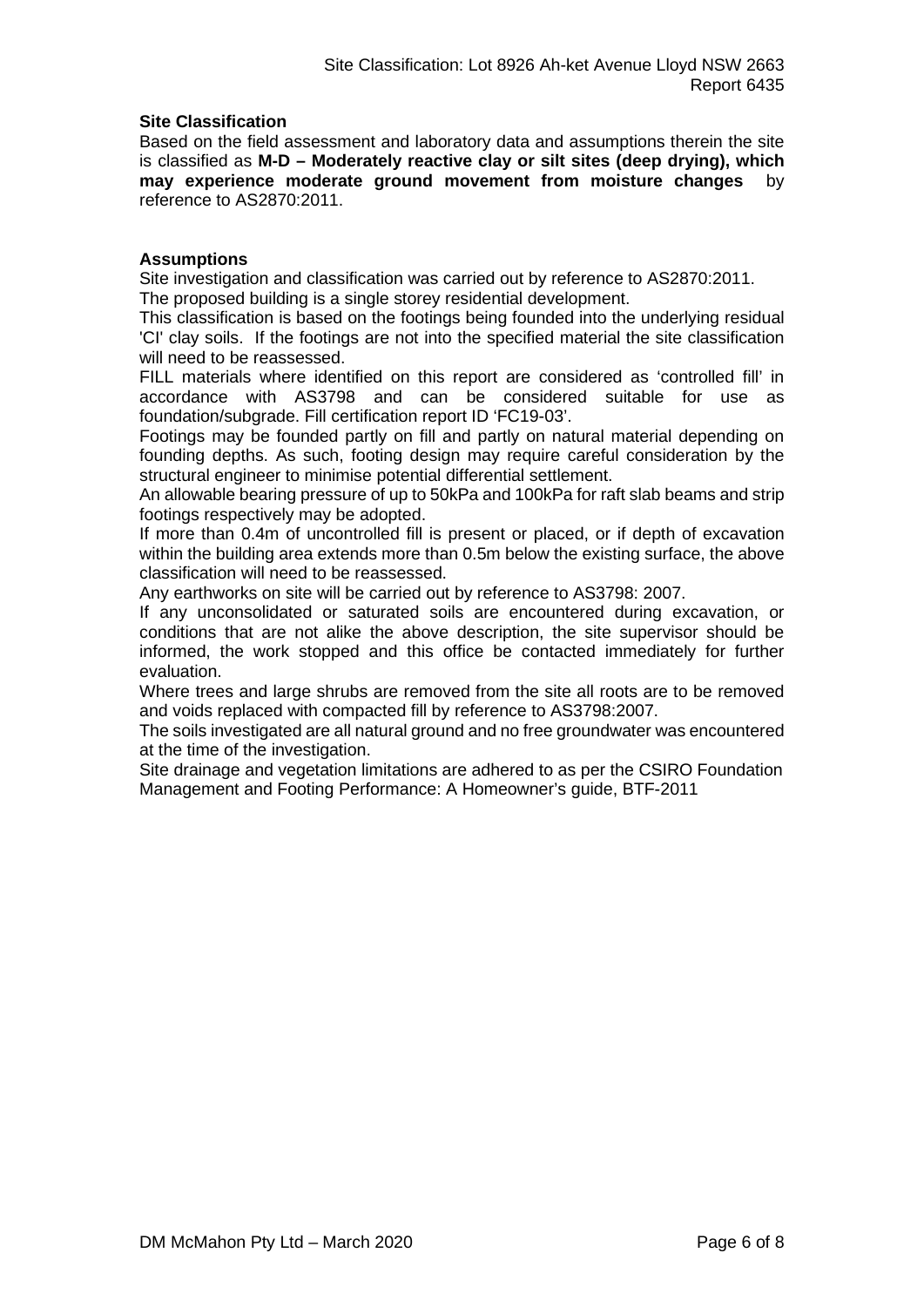# **Site Classification**

Based on the field assessment and laboratory data and assumptions therein the site is classified as **M-D – Moderately reactive clay or silt sites (deep drying), which may experience moderate ground movement from moisture changes** by reference to AS2870:2011.

# **Assumptions**

Site investigation and classification was carried out by reference to AS2870:2011. The proposed building is a single storey residential development.

This classification is based on the footings being founded into the underlying residual 'CI' clay soils. If the footings are not into the specified material the site classification will need to be reassessed.

FILL materials where identified on this report are considered as 'controlled fill' in accordance with AS3798 and can be considered suitable for use as foundation/subgrade. Fill certification report ID 'FC19-03'.

Footings may be founded partly on fill and partly on natural material depending on founding depths. As such, footing design may require careful consideration by the structural engineer to minimise potential differential settlement.

An allowable bearing pressure of up to 50kPa and 100kPa for raft slab beams and strip footings respectively may be adopted.

If more than 0.4m of uncontrolled fill is present or placed, or if depth of excavation within the building area extends more than 0.5m below the existing surface, the above classification will need to be reassessed.

Any earthworks on site will be carried out by reference to AS3798: 2007.

If any unconsolidated or saturated soils are encountered during excavation, or conditions that are not alike the above description, the site supervisor should be informed, the work stopped and this office be contacted immediately for further evaluation.

Where trees and large shrubs are removed from the site all roots are to be removed and voids replaced with compacted fill by reference to AS3798:2007.

The soils investigated are all natural ground and no free groundwater was encountered at the time of the investigation.

Site drainage and vegetation limitations are adhered to as per the CSIRO Foundation Management and Footing Performance: A Homeowner's guide, BTF-2011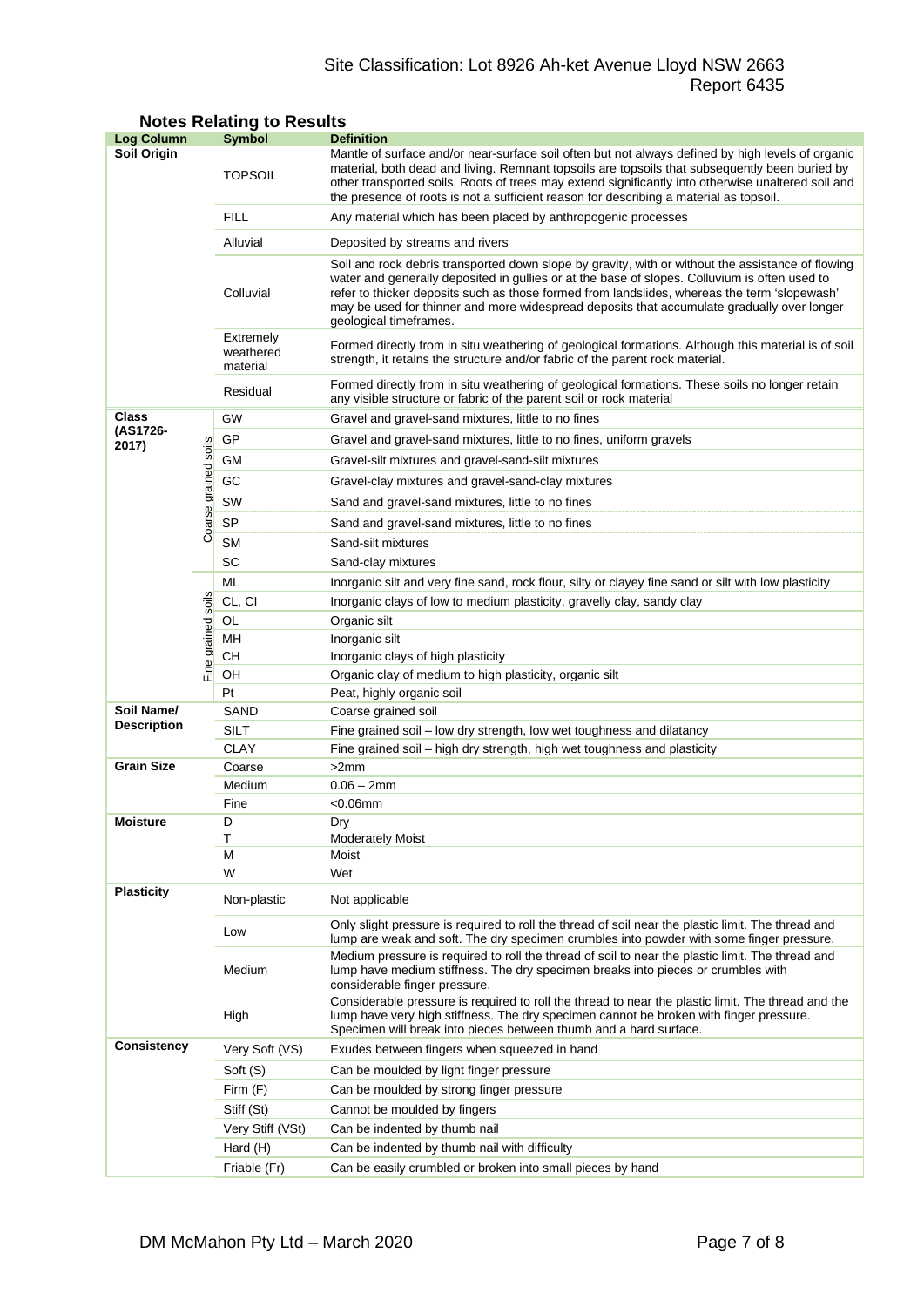# Site Classification: Lot 8926 Ah-ket Avenue Lloyd NSW 2663 Report 6435

| <b>Log Column</b>                |                      | <b>Symbol</b>                      | <b>Definition</b>                                                                                                                                                                                                                                                                                                                                                                                                          |  |  |  |
|----------------------------------|----------------------|------------------------------------|----------------------------------------------------------------------------------------------------------------------------------------------------------------------------------------------------------------------------------------------------------------------------------------------------------------------------------------------------------------------------------------------------------------------------|--|--|--|
| Soil Origin                      |                      | <b>TOPSOIL</b>                     | Mantle of surface and/or near-surface soil often but not always defined by high levels of organic<br>material, both dead and living. Remnant topsoils are topsoils that subsequently been buried by<br>other transported soils. Roots of trees may extend significantly into otherwise unaltered soil and<br>the presence of roots is not a sufficient reason for describing a material as topsoil.                        |  |  |  |
|                                  |                      | <b>FILL</b>                        | Any material which has been placed by anthropogenic processes                                                                                                                                                                                                                                                                                                                                                              |  |  |  |
|                                  |                      | Alluvial                           | Deposited by streams and rivers                                                                                                                                                                                                                                                                                                                                                                                            |  |  |  |
|                                  |                      | Colluvial                          | Soil and rock debris transported down slope by gravity, with or without the assistance of flowing<br>water and generally deposited in gullies or at the base of slopes. Colluvium is often used to<br>refer to thicker deposits such as those formed from landslides, whereas the term 'slopewash'<br>may be used for thinner and more widespread deposits that accumulate gradually over longer<br>geological timeframes. |  |  |  |
|                                  |                      | Extremely<br>weathered<br>material | Formed directly from in situ weathering of geological formations. Although this material is of soil<br>strength, it retains the structure and/or fabric of the parent rock material.                                                                                                                                                                                                                                       |  |  |  |
|                                  |                      | Residual                           | Formed directly from in situ weathering of geological formations. These soils no longer retain<br>any visible structure or fabric of the parent soil or rock material                                                                                                                                                                                                                                                      |  |  |  |
| <b>Class</b>                     |                      | GW                                 | Gravel and gravel-sand mixtures, little to no fines                                                                                                                                                                                                                                                                                                                                                                        |  |  |  |
| (AS1726-<br>2017)                |                      | GP                                 | Gravel and gravel-sand mixtures, little to no fines, uniform gravels                                                                                                                                                                                                                                                                                                                                                       |  |  |  |
|                                  |                      | GМ                                 | Gravel-silt mixtures and gravel-sand-silt mixtures                                                                                                                                                                                                                                                                                                                                                                         |  |  |  |
|                                  |                      | GC                                 | Gravel-clay mixtures and gravel-sand-clay mixtures                                                                                                                                                                                                                                                                                                                                                                         |  |  |  |
|                                  |                      | SW                                 | Sand and gravel-sand mixtures, little to no fines                                                                                                                                                                                                                                                                                                                                                                          |  |  |  |
|                                  | Coarse grained soils | <b>SP</b>                          | Sand and gravel-sand mixtures, little to no fines                                                                                                                                                                                                                                                                                                                                                                          |  |  |  |
|                                  |                      | <b>SM</b>                          | Sand-silt mixtures                                                                                                                                                                                                                                                                                                                                                                                                         |  |  |  |
|                                  |                      | SC                                 | Sand-clay mixtures                                                                                                                                                                                                                                                                                                                                                                                                         |  |  |  |
|                                  |                      | ML                                 | Inorganic silt and very fine sand, rock flour, silty or clayey fine sand or silt with low plasticity                                                                                                                                                                                                                                                                                                                       |  |  |  |
|                                  |                      | CL, CI                             | Inorganic clays of low to medium plasticity, gravelly clay, sandy clay                                                                                                                                                                                                                                                                                                                                                     |  |  |  |
|                                  | grained soils        | OL                                 | Organic silt                                                                                                                                                                                                                                                                                                                                                                                                               |  |  |  |
|                                  |                      | MН                                 | Inorganic silt                                                                                                                                                                                                                                                                                                                                                                                                             |  |  |  |
| Fine                             |                      | CН                                 | Inorganic clays of high plasticity                                                                                                                                                                                                                                                                                                                                                                                         |  |  |  |
|                                  |                      | OH                                 | Organic clay of medium to high plasticity, organic silt                                                                                                                                                                                                                                                                                                                                                                    |  |  |  |
|                                  |                      | Pt                                 | Peat, highly organic soil                                                                                                                                                                                                                                                                                                                                                                                                  |  |  |  |
| Soil Name/<br><b>Description</b> |                      | SAND                               | Coarse grained soil                                                                                                                                                                                                                                                                                                                                                                                                        |  |  |  |
|                                  |                      | <b>SILT</b>                        | Fine grained soil - low dry strength, low wet toughness and dilatancy                                                                                                                                                                                                                                                                                                                                                      |  |  |  |
| <b>Grain Size</b>                |                      | <b>CLAY</b><br>Coarse              | Fine grained soil – high dry strength, high wet toughness and plasticity<br>>2mm                                                                                                                                                                                                                                                                                                                                           |  |  |  |
|                                  |                      | Medium                             | $0.06 - 2mm$                                                                                                                                                                                                                                                                                                                                                                                                               |  |  |  |
|                                  |                      | Fine                               | $<$ 0.06 $<$ mm                                                                                                                                                                                                                                                                                                                                                                                                            |  |  |  |
| Moisture                         |                      | D                                  | Dry                                                                                                                                                                                                                                                                                                                                                                                                                        |  |  |  |
|                                  |                      | Τ                                  | <b>Moderately Moist</b>                                                                                                                                                                                                                                                                                                                                                                                                    |  |  |  |
|                                  |                      | М                                  | Moist                                                                                                                                                                                                                                                                                                                                                                                                                      |  |  |  |
|                                  |                      | W                                  | Wet                                                                                                                                                                                                                                                                                                                                                                                                                        |  |  |  |
| <b>Plasticity</b>                |                      | Non-plastic                        | Not applicable                                                                                                                                                                                                                                                                                                                                                                                                             |  |  |  |
|                                  |                      | Low                                | Only slight pressure is required to roll the thread of soil near the plastic limit. The thread and<br>lump are weak and soft. The dry specimen crumbles into powder with some finger pressure.                                                                                                                                                                                                                             |  |  |  |
|                                  |                      | Medium                             | Medium pressure is required to roll the thread of soil to near the plastic limit. The thread and<br>lump have medium stiffness. The dry specimen breaks into pieces or crumbles with<br>considerable finger pressure.                                                                                                                                                                                                      |  |  |  |
|                                  |                      | High                               | Considerable pressure is required to roll the thread to near the plastic limit. The thread and the<br>lump have very high stiffness. The dry specimen cannot be broken with finger pressure.<br>Specimen will break into pieces between thumb and a hard surface.                                                                                                                                                          |  |  |  |
| <b>Consistency</b>               |                      | Very Soft (VS)                     | Exudes between fingers when squeezed in hand                                                                                                                                                                                                                                                                                                                                                                               |  |  |  |
|                                  |                      | Soft (S)                           | Can be moulded by light finger pressure                                                                                                                                                                                                                                                                                                                                                                                    |  |  |  |
|                                  |                      | Firm (F)                           | Can be moulded by strong finger pressure                                                                                                                                                                                                                                                                                                                                                                                   |  |  |  |
|                                  |                      | Stiff (St)                         | Cannot be moulded by fingers                                                                                                                                                                                                                                                                                                                                                                                               |  |  |  |
|                                  |                      | Very Stiff (VSt)                   | Can be indented by thumb nail                                                                                                                                                                                                                                                                                                                                                                                              |  |  |  |
|                                  |                      | Hard (H)                           | Can be indented by thumb nail with difficulty                                                                                                                                                                                                                                                                                                                                                                              |  |  |  |
|                                  |                      | Friable (Fr)                       | Can be easily crumbled or broken into small pieces by hand                                                                                                                                                                                                                                                                                                                                                                 |  |  |  |

# **Notes Relating to Results**